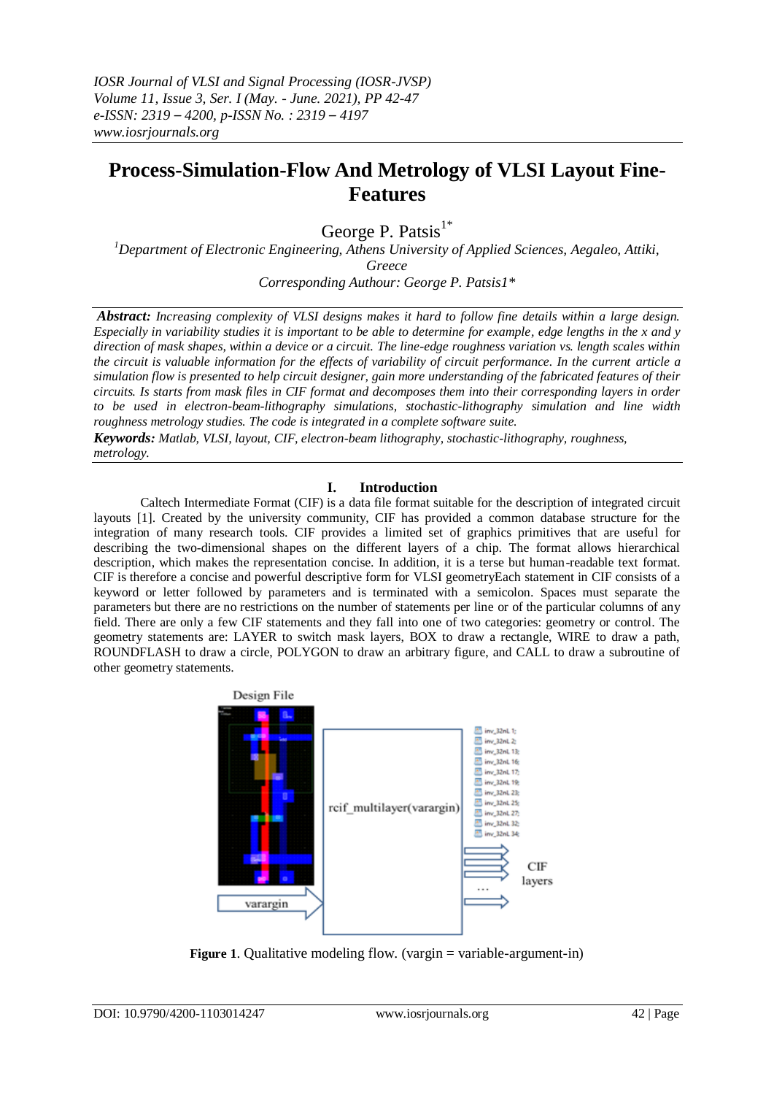# **Process-Simulation-Flow And Metrology of VLSI Layout Fine-Features**

George P. Patsis $1^*$ 

*<sup>1</sup>Department of Electronic Engineering, Athens University of Applied Sciences, Aegaleo, Attiki, Greece Corresponding Authour: George P. Patsis1\**

*Abstract: Increasing complexity of VLSI designs makes it hard to follow fine details within a large design. Especially in variability studies it is important to be able to determine for example, edge lengths in the x and y direction of mask shapes, within a device or a circuit. The line-edge roughness variation vs. length scales within the circuit is valuable information for the effects of variability of circuit performance. In the current article a simulation flow is presented to help circuit designer, gain more understanding of the fabricated features of their circuits. Is starts from mask files in CIF format and decomposes them into their corresponding layers in order to be used in electron-beam-lithography simulations, stochastic-lithography simulation and line width roughness metrology studies. The code is integrated in a complete software suite.*

*Keywords: Matlab, VLSI, layout, CIF, electron-beam lithography, stochastic-lithography, roughness, metrology.*

# **I. Introduction**

Caltech Intermediate Format (CIF) is a data file format suitable for the description of integrated circuit layouts [1]. Created by the university community, CIF has provided a common database structure for the integration of many research tools. CIF provides a limited set of graphics primitives that are useful for describing the two-dimensional shapes on the different layers of a chip. The format allows hierarchical description, which makes the representation concise. In addition, it is a terse but human-readable text format. CIF is therefore a concise and powerful descriptive form for VLSI geometryEach statement in CIF consists of a keyword or letter followed by parameters and is terminated with a semicolon. Spaces must separate the parameters but there are no restrictions on the number of statements per line or of the particular columns of any field. There are only a few CIF statements and they fall into one of two categories: geometry or control. The geometry statements are: LAYER to switch mask layers, BOX to draw a rectangle, WIRE to draw a path, ROUNDFLASH to draw a circle, POLYGON to draw an arbitrary figure, and CALL to draw a subroutine of other geometry statements.



**Figure** 1. Qualitative modeling flow. (vargin = variable-argument-in)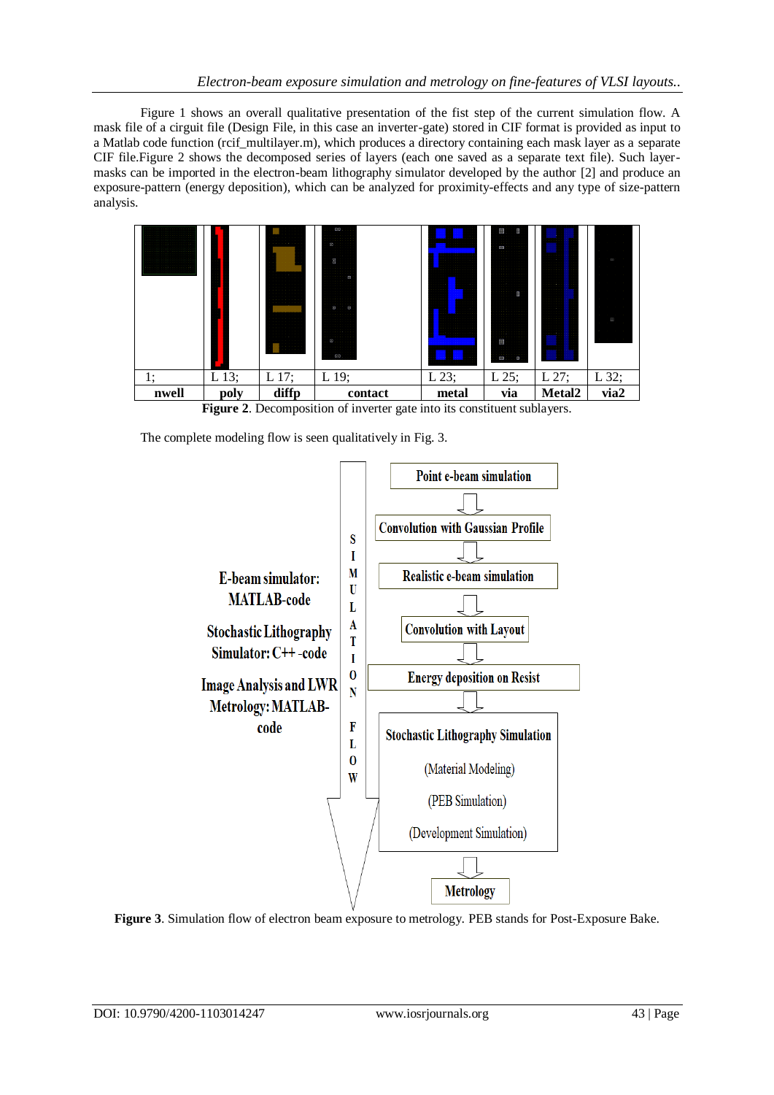Figure 1 shows an overall qualitative presentation of the fist step of the current simulation flow. A mask file of a cirguit file (Design File, in this case an inverter-gate) stored in CIF format is provided as input to a Matlab code function (rcif multilayer.m), which produces a directory containing each mask layer as a separate CIF file.Figure 2 shows the decomposed series of layers (each one saved as a separate text file). Such layermasks can be imported in the electron-beam lithography simulator developed by the author [2] and produce an exposure-pattern (energy deposition), which can be analyzed for proximity-effects and any type of size-pattern analysis.



**Figure 2**. Decomposition of inverter gate into its constituent sublayers.

The complete modeling flow is seen qualitatively in Fig. 3.



**Figure 3**. Simulation flow of electron beam exposure to metrology. PEB stands for Post-Exposure Bake.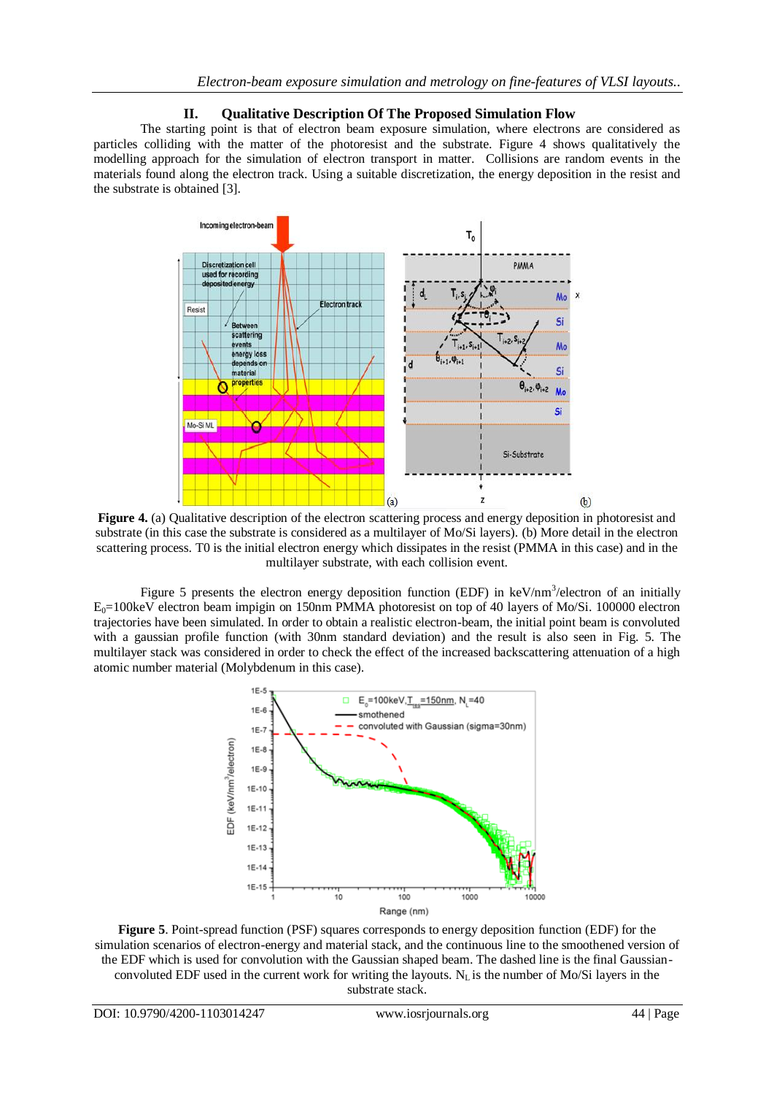### **II. Qualitative Description Of The Proposed Simulation Flow**

The starting point is that of electron beam exposure simulation, where electrons are considered as particles colliding with the matter of the photoresist and the substrate. Figure 4 shows qualitatively the modelling approach for the simulation of electron transport in matter. Collisions are random events in the materials found along the electron track. Using a suitable discretization, the energy deposition in the resist and the substrate is obtained [3].



**Figure 4.** (a) Qualitative description of the electron scattering process and energy deposition in photoresist and substrate (in this case the substrate is considered as a multilayer of Mo/Si layers). (b) More detail in the electron scattering process. T0 is the initial electron energy which dissipates in the resist (PMMA in this case) and in the multilayer substrate, with each collision event.

Figure 5 presents the electron energy deposition function (EDF) in  $keV/nm^3/electron$  of an initially  $E_0$ =100keV electron beam impigin on 150nm PMMA photoresist on top of 40 layers of Mo/Si. 100000 electron trajectories have been simulated. In order to obtain a realistic electron-beam, the initial point beam is convoluted with a gaussian profile function (with 30nm standard deviation) and the result is also seen in Fig. 5. The multilayer stack was considered in order to check the effect of the increased backscattering attenuation of a high atomic number material (Molybdenum in this case).



**Figure 5**. Point-spread function (PSF) squares corresponds to energy deposition function (EDF) for the simulation scenarios of electron-energy and material stack, and the continuous line to the smoothened version of the EDF which is used for convolution with the Gaussian shaped beam. The dashed line is the final Gaussianconvoluted EDF used in the current work for writing the layouts.  $N_L$  is the number of Mo/Si layers in the substrate stack.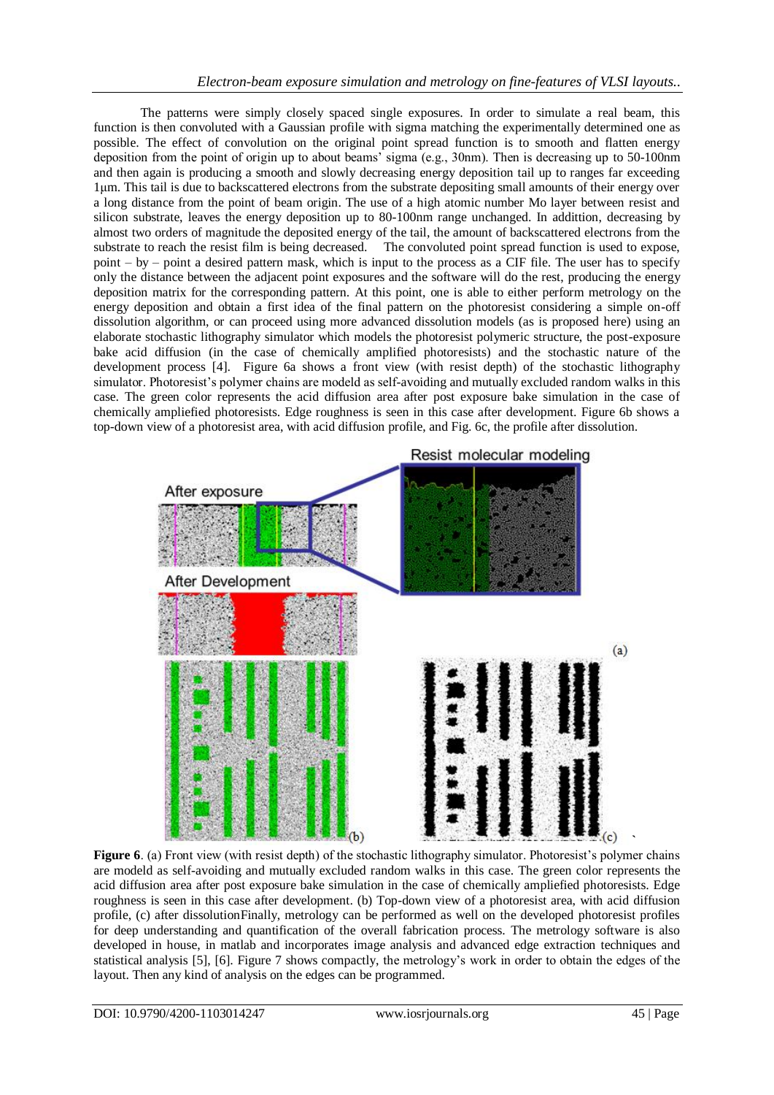The patterns were simply closely spaced single exposures. In order to simulate a real beam, this function is then convoluted with a Gaussian profile with sigma matching the experimentally determined one as possible. The effect of convolution on the original point spread function is to smooth and flatten energy deposition from the point of origin up to about beams' sigma (e.g., 30nm). Then is decreasing up to 50-100nm and then again is producing a smooth and slowly decreasing energy deposition tail up to ranges far exceeding 1μm. This tail is due to backscattered electrons from the substrate depositing small amounts of their energy over a long distance from the point of beam origin. The use of a high atomic number Mo layer between resist and silicon substrate, leaves the energy deposition up to 80-100nm range unchanged. In addittion, decreasing by almost two orders of magnitude the deposited energy of the tail, the amount of backscattered electrons from the substrate to reach the resist film is being decreased. The convoluted point spread function is used to expose, point – by – point a desired pattern mask, which is input to the process as a CIF file. The user has to specify only the distance between the adjacent point exposures and the software will do the rest, producing the energy deposition matrix for the corresponding pattern. At this point, one is able to either perform metrology on the energy deposition and obtain a first idea of the final pattern on the photoresist considering a simple on-off dissolution algorithm, or can proceed using more advanced dissolution models (as is proposed here) using an elaborate stochastic lithography simulator which models the photoresist polymeric structure, the post-exposure bake acid diffusion (in the case of chemically amplified photoresists) and the stochastic nature of the development process [4]. Figure 6a shows a front view (with resist depth) of the stochastic lithography simulator. Photoresist's polymer chains are modeld as self-avoiding and mutually excluded random walks in this case. The green color represents the acid diffusion area after post exposure bake simulation in the case of chemically ampliefied photoresists. Edge roughness is seen in this case after development. Figure 6b shows a top-down view of a photoresist area, with acid diffusion profile, and Fig. 6c, the profile after dissolution.



**Figure 6**. (a) Front view (with resist depth) of the stochastic lithography simulator. Photoresist's polymer chains are modeld as self-avoiding and mutually excluded random walks in this case. The green color represents the acid diffusion area after post exposure bake simulation in the case of chemically ampliefied photoresists. Edge roughness is seen in this case after development. (b) Top-down view of a photoresist area, with acid diffusion profile, (c) after dissolutionFinally, metrology can be performed as well on the developed photoresist profiles for deep understanding and quantification of the overall fabrication process. The metrology software is also developed in house, in matlab and incorporates image analysis and advanced edge extraction techniques and statistical analysis [5], [6]. Figure 7 shows compactly, the metrology's work in order to obtain the edges of the layout. Then any kind of analysis on the edges can be programmed.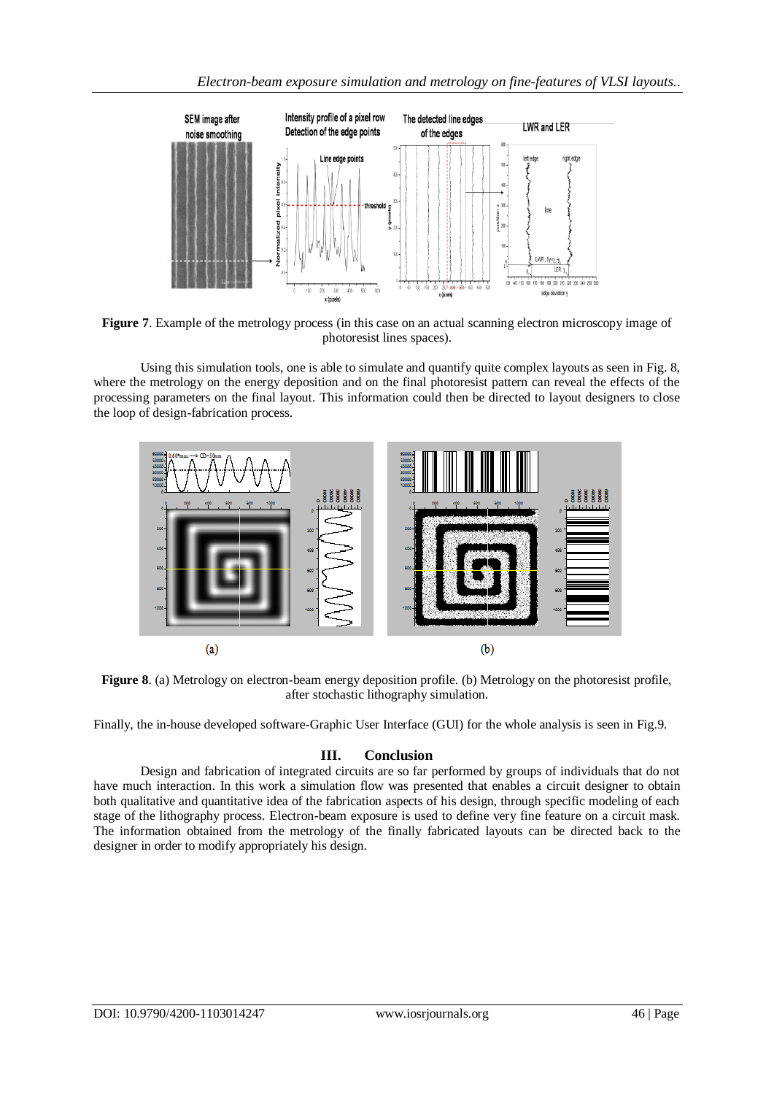

**Figure 7**. Example of the metrology process (in this case on an actual scanning electron microscopy image of photoresist lines spaces).

Using this simulation tools, one is able to simulate and quantify quite complex layouts as seen in Fig. 8, where the metrology on the energy deposition and on the final photoresist pattern can reveal the effects of the processing parameters on the final layout. This information could then be directed to layout designers to close the loop of design-fabrication process.



**Figure 8**. (a) Metrology on electron-beam energy deposition profile. (b) Metrology on the photoresist profile, after stochastic lithography simulation.

Finally, the in-house developed software-Graphic User Interface (GUI) for the whole analysis is seen in Fig.9.

# **III. Conclusion**

Design and fabrication of integrated circuits are so far performed by groups of individuals that do not have much interaction. In this work a simulation flow was presented that enables a circuit designer to obtain both qualitative and quantitative idea of the fabrication aspects of his design, through specific modeling of each stage of the lithography process. Electron-beam exposure is used to define very fine feature on a circuit mask. The information obtained from the metrology of the finally fabricated layouts can be directed back to the designer in order to modify appropriately his design.